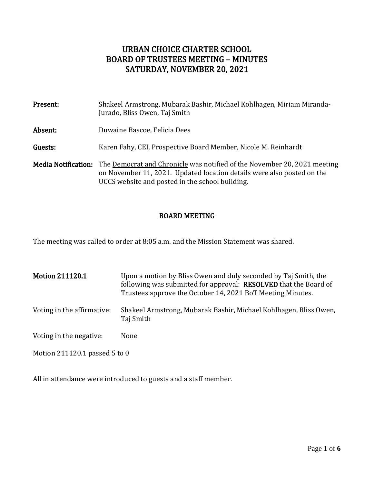# URBAN CHOICE CHARTER SCHOOL BOARD OF TRUSTEES MEETING – MINUTES SATURDAY, NOVEMBER 20, 2021

| Present:                   | Shakeel Armstrong, Mubarak Bashir, Michael Kohlhagen, Miriam Miranda-<br>Jurado, Bliss Owen, Taj Smith                                                                                                |
|----------------------------|-------------------------------------------------------------------------------------------------------------------------------------------------------------------------------------------------------|
| Absent:                    | Duwaine Bascoe, Felicia Dees                                                                                                                                                                          |
| Guests:                    | Karen Fahy, CEI, Prospective Board Member, Nicole M. Reinhardt                                                                                                                                        |
| <b>Media Notification:</b> | The Democrat and Chronicle was notified of the November 20, 2021 meeting<br>on November 11, 2021. Updated location details were also posted on the<br>UCCS website and posted in the school building. |

# BOARD MEETING

The meeting was called to order at 8:05 a.m. and the Mission Statement was shared.

| <b>Motion 211120.1</b>          | Upon a motion by Bliss Owen and duly seconded by Taj Smith, the<br>following was submitted for approval: RESOLVED that the Board of<br>Trustees approve the October 14, 2021 BoT Meeting Minutes. |
|---------------------------------|---------------------------------------------------------------------------------------------------------------------------------------------------------------------------------------------------|
| Voting in the affirmative:      | Shakeel Armstrong, Mubarak Bashir, Michael Kohlhagen, Bliss Owen,<br>Taj Smith                                                                                                                    |
| Voting in the negative:         | None                                                                                                                                                                                              |
| Motion 211120.1 passed $5$ to 0 |                                                                                                                                                                                                   |

All in attendance were introduced to guests and a staff member.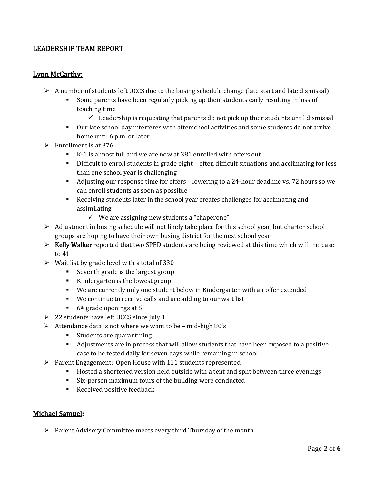# LEADERSHIP TEAM REPORT

#### Lynn McCarthy:

- $\triangleright$  A number of students left UCCS due to the busing schedule change (late start and late dismissal)
	- Some parents have been regularly picking up their students early resulting in loss of teaching time
		- $\checkmark$  Leadership is requesting that parents do not pick up their students until dismissal
	- Our late school day interferes with afterschool activities and some students do not arrive home until 6 p.m. or later
- $\triangleright$  Enrollment is at 376
	- K-1 is almost full and we are now at 381 enrolled with offers out
	- **•** Difficult to enroll students in grade eight often difficult situations and acclimating for less than one school year is challenging
	- Adjusting our response time for offers lowering to a 24-hour deadline vs. 72 hours so we can enroll students as soon as possible
	- Receiving students later in the school year creates challenges for acclimating and assimilating
		- ✓ We are assigning new students a "chaperone"
- $\triangleright$  Adjustment in busing schedule will not likely take place for this school year, but charter school groups are hoping to have their own busing district for the next school year
- $\triangleright$  Kelly Walker reported that two SPED students are being reviewed at this time which will increase to 41
- $\triangleright$  Wait list by grade level with a total of 330
	- Seventh grade is the largest group
	- Kindergarten is the lowest group
	- We are currently only one student below in Kindergarten with an offer extended
	- We continue to receive calls and are adding to our wait list
	- $\blacksquare$  6<sup>th</sup> grade openings at 5
- $\geq 22$  students have left UCCS since July 1
- $\triangleright$  Attendance data is not where we want to be mid-high 80's
	- Students are quarantining
	- Adjustments are in process that will allow students that have been exposed to a positive case to be tested daily for seven days while remaining in school
- ➢ Parent Engagement: Open House with 111 students represented
	- Hosted a shortened version held outside with a tent and split between three evenings
	- Six-person maximum tours of the building were conducted
	- Received positive feedback

#### Michael Samuel:

➢ Parent Advisory Committee meets every third Thursday of the month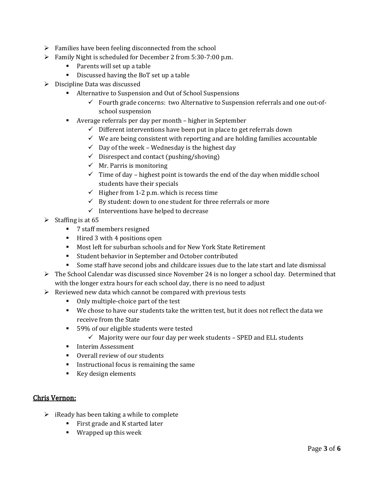- $\triangleright$  Families have been feeling disconnected from the school
- ➢ Family Night is scheduled for December 2 from 5:30-7:00 p.m.
	- Parents will set up a table
	- Discussed having the BoT set up a table
- ➢ Discipline Data was discussed
	- Alternative to Suspension and Out of School Suspensions
		- $\checkmark$  Fourth grade concerns: two Alternative to Suspension referrals and one out-ofschool suspension
	- Average referrals per day per month higher in September
		- $\checkmark$  Different interventions have been put in place to get referrals down
		- $\checkmark$  We are being consistent with reporting and are holding families accountable
		- $\checkmark$  Day of the week Wednesday is the highest day
		- $\checkmark$  Disrespect and contact (pushing/shoving)
		- $\checkmark$  Mr. Parris is monitoring
		- $\checkmark$  Time of day highest point is towards the end of the day when middle school students have their specials
		- $\checkmark$  Higher from 1-2 p.m. which is recess time
		- $\checkmark$  By student: down to one student for three referrals or more
		- $\checkmark$  Interventions have helped to decrease
- $\triangleright$  Staffing is at 65
	- 7 staff members resigned
	- Hired 3 with 4 positions open
	- Most left for suburban schools and for New York State Retirement
	- Student behavior in September and October contributed
	- Some staff have second jobs and childcare issues due to the late start and late dismissal
- $\triangleright$  The School Calendar was discussed since November 24 is no longer a school day. Determined that with the longer extra hours for each school day, there is no need to adjust
- $\triangleright$  Reviewed new data which cannot be compared with previous tests
	- Only multiple-choice part of the test
	- We chose to have our students take the written test, but it does not reflect the data we receive from the State
	- 59% of our eligible students were tested
		- $\checkmark$  Majority were our four day per week students SPED and ELL students
	- **•** Interim Assessment
	- Overall review of our students
	- Instructional focus is remaining the same
	- Key design elements

#### Chris Vernon:

- $\triangleright$  iReady has been taking a while to complete
	- First grade and K started later
	- Wrapped up this week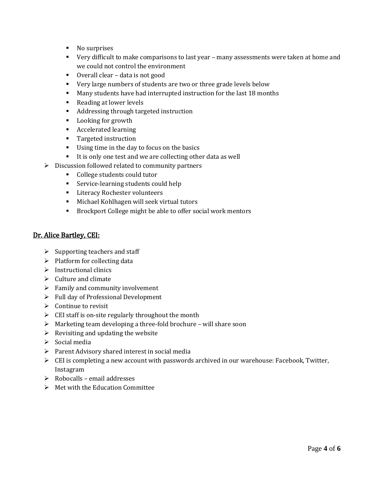- No surprises
- Very difficult to make comparisons to last year many assessments were taken at home and we could not control the environment
- Overall clear data is not good
- Very large numbers of students are two or three grade levels below
- Many students have had interrupted instruction for the last 18 months
- Reading at lower levels
- Addressing through targeted instruction
- Looking for growth
- Accelerated learning
- Targeted instruction
- Using time in the day to focus on the basics
- It is only one test and we are collecting other data as well
- $\triangleright$  Discussion followed related to community partners
	- College students could tutor
	- **EXECUTE:** Service-learning students could help
	- **EXECUTE:** Literacy Rochester volunteers
	- Michael Kohlhagen will seek virtual tutors
	- Brockport College might be able to offer social work mentors

#### Dr. Alice Bartley, CEI:

- $\triangleright$  Supporting teachers and staff
- $\triangleright$  Platform for collecting data
- $\triangleright$  Instructional clinics
- ➢ Culture and climate
- $\triangleright$  Family and community involvement
- ➢ Full day of Professional Development
- $\triangleright$  Continue to revisit
- ➢ CEI staff is on-site regularly throughout the month
- ➢ Marketing team developing a three-fold brochure will share soon
- $\triangleright$  Revisiting and updating the website
- ➢ Social media
- ➢ Parent Advisory shared interest in social media
- $\triangleright$  CEI is completing a new account with passwords archived in our warehouse: Facebook, Twitter, Instagram
- $\triangleright$  Robocalls email addresses
- $\triangleright$  Met with the Education Committee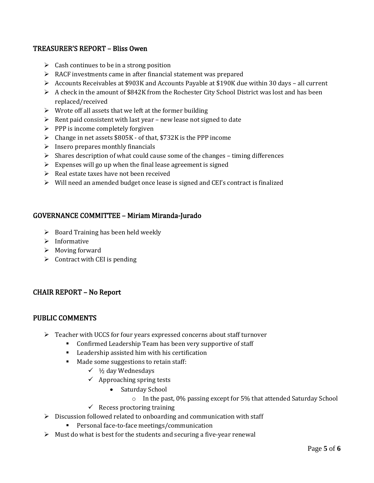## TREASURER'S REPORT – Bliss Owen

- $\triangleright$  Cash continues to be in a strong position
- ➢ RACF investments came in after financial statement was prepared
- ➢ Accounts Receivables at \$903K and Accounts Payable at \$190K due within 30 days all current
- $\triangleright$  A check in the amount of \$842K from the Rochester City School District was lost and has been replaced/received
- $\triangleright$  Wrote off all assets that we left at the former building
- $\triangleright$  Rent paid consistent with last year new lease not signed to date
- $\triangleright$  PPP is income completely forgiven
- ➢ Change in net assets \$805K of that, \$732K is the PPP income
- $\triangleright$  Insero prepares monthly financials
- $\triangleright$  Shares description of what could cause some of the changes timing differences
- $\triangleright$  Expenses will go up when the final lease agreement is signed
- ➢ Real estate taxes have not been received
- $\triangleright$  Will need an amended budget once lease is signed and CEI's contract is finalized

# GOVERNANCE COMMITTEE – Miriam Miranda-Jurado

- $\triangleright$  Board Training has been held weekly
- ➢ Informative
- ➢ Moving forward
- $\triangleright$  Contract with CEI is pending

## CHAIR REPORT – No Report

## PUBLIC COMMENTS

- ➢ Teacher with UCCS for four years expressed concerns about staff turnover
	- Confirmed Leadership Team has been very supportive of staff
	- Leadership assisted him with his certification
	- Made some suggestions to retain staff:
		- $\checkmark$  1/2 day Wednesdays
		- $\checkmark$  Approaching spring tests
			- Saturday School
				- o In the past, 0% passing except for 5% that attended Saturday School
			- $\checkmark$  Recess proctoring training
- ➢ Discussion followed related to onboarding and communication with staff
	- Personal face-to-face meetings/communication
- $\triangleright$  Must do what is best for the students and securing a five-year renewal